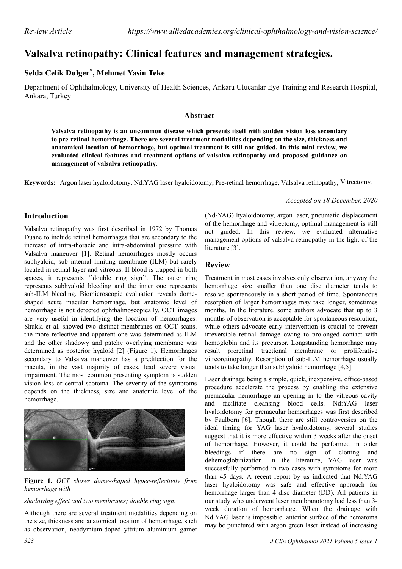# **Valsalva retinopathy: Clinical features and management strategies.**

## **Selda Celik Dulger\* , Mehmet Yasin Teke**

Department of Ophthalmology, University of Health Sciences, Ankara Ulucanlar Eye Training and Research Hospital, Ankara, Turkey

### **Abstract**

**Valsalva retinopathy is an uncommon disease which presents itself with sudden vision loss secondary to pre-retinal hemorrhage. There are several treatment modalities depending on the size, thickness and anatomical location of hemorrhage, but optimal treatment is still not guided. In this mini review, we evaluated clinical features and treatment options of valsalva retinopathy and proposed guidance on management of valsalva retinopathy.**

Keywords: Argon laser hyaloidotomy, Nd:YAG laser hyaloidotomy, Pre-retinal hemorrhage, Valsalva retinopathy, Vitrectomy.

### **Introduction**

Valsalva retinopathy was first described in 1972 by Thomas Duane to include retinal hemorrhages that are secondary to the increase of intra-thoracic and intra-abdominal pressure with Valsalva maneuver [1]. Retinal hemorrhages mostly occurs subhyaloid, sub internal limiting membrane (ILM) but rarely located in retinal layer and vitreous. If blood is trapped in both spaces, it represents ''double ring sign''. The outer ring represents subhyaloid bleeding and the inner one represents sub-ILM bleeding. Biomicroscopic evaluation reveals domeshaped acute macular hemorrhage, but anatomic level of hemorrhage is not detected ophthalmoscopically. OCT images are very useful in identifying the location of hemorrhages. Shukla et al. showed two distinct membranes on OCT scans, the more reflective and apparent one was determined as ILM and the other shadowy and patchy overlying membrane was determined as posterior hyaloid [2] (Figure 1). Hemorrhages secondary to Valsalva maneuver has a predilection for the macula, in the vast majority of cases, lead severe visual impairment. The most common presenting symptom is sudden vision loss or central scotoma. The severity of the symptoms depends on the thickness, size and anatomic level of the hemorrhage.



**Figure 1.** *OCT shows dome-shaped hyper-reflectivity from hemorrhage with*

#### *shadowing effect and two membranes; double ring sign.*

Although there are several treatment modalities depending on the size, thickness and anatomical location of hemorrhage, such as observation, neodymium-doped yttrium aluminium garnet *Accepted on 18 December, 2020*

(Nd-YAG) hyaloidotomy, argon laser, pneumatic displacement of the hemorrhage and vitrectomy, optimal management is still not guided. In this review, we evaluated alternative management options of valsalva retinopathy in the light of the literature [3].

### **Review**

Treatment in most cases involves only observation, anyway the hemorrhage size smaller than one disc diameter tends to resolve spontaneously in a short period of time. Spontaneous resorption of larger hemorrhages may take longer, sometimes months. In the literature, some authors advocate that up to 3 months of observation is acceptable for spontaneous resolution, while others advocate early intervention is crucial to prevent irreversible retinal damage owing to prolonged contact with hemoglobin and its precursor. Longstanding hemorrhage may result preretinal tractional membrane or proliferative vitreoretinopathy. Resorption of sub-ILM hemorrhage usually tends to take longer than subhyaloid hemorrhage [4,5].

Laser drainage being a simple, quick, inexpensive, office-based procedure accelerate the process by enabling the extensive premacular hemorrhage an opening in to the vitreous cavity and facilitate cleansing blood cells. Nd:YAG laser hyaloidotomy for premacular hemorrhages was first described by Faulborn [6]. Though there are still controversies on the ideal timing for YAG laser hyaloidotomy, several studies suggest that it is more effective within 3 weeks after the onset of hemorrhage. However, it could be performed in older bleedings if there are no sign of clotting and dehemoglobinization. In the literature, YAG laser was successfully performed in two cases with symptoms for more than 45 days. A recent report by us indicated that Nd:YAG laser hyaloidotomy was safe and effective approach for hemorrhage larger than 4 disc diameter (DD). All patients in our study who underwent laser membranotomy had less than 3 week duration of hemorrhage. When the drainage with Nd:YAG laser is impossible, anterior surface of the hematoma may be punctured with argon green laser instead of increasing